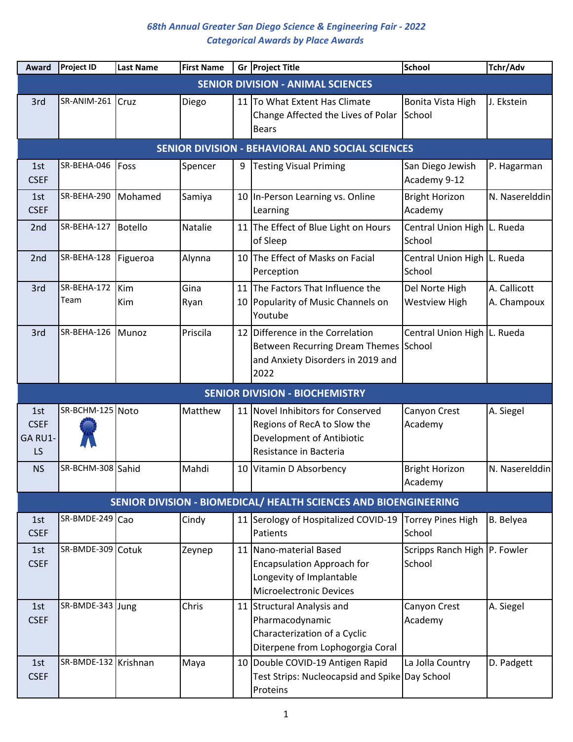| Award                               | <b>Project ID</b>    | <b>Last Name</b> | <b>First Name</b> |    | Gr Project Title                                                                                                               | <b>School</b>                            | Tchr/Adv                    |
|-------------------------------------|----------------------|------------------|-------------------|----|--------------------------------------------------------------------------------------------------------------------------------|------------------------------------------|-----------------------------|
|                                     |                      |                  |                   |    | <b>SENIOR DIVISION - ANIMAL SCIENCES</b>                                                                                       |                                          |                             |
| 3rd                                 | SR-ANIM-261 Cruz     |                  | Diego             |    | 11 To What Extent Has Climate<br>Change Affected the Lives of Polar<br><b>Bears</b>                                            | Bonita Vista High<br>School              | J. Ekstein                  |
|                                     |                      |                  |                   |    | SENIOR DIVISION - BEHAVIORAL AND SOCIAL SCIENCES                                                                               |                                          |                             |
| 1st<br><b>CSEF</b>                  | SR-BEHA-046          | Foss             | Spencer           | 9  | <b>Testing Visual Priming</b>                                                                                                  | San Diego Jewish<br>Academy 9-12         | P. Hagarman                 |
| 1st<br><b>CSEF</b>                  | SR-BEHA-290          | Mohamed          | Samiya            |    | 10 In-Person Learning vs. Online<br>Learning                                                                                   | <b>Bright Horizon</b><br>Academy         | N. Naserelddin              |
| 2nd                                 | SR-BEHA-127          | Botello          | Natalie           |    | 11 The Effect of Blue Light on Hours<br>of Sleep                                                                               | Central Union High L. Rueda<br>School    |                             |
| 2 <sub>nd</sub>                     | SR-BEHA-128          | Figueroa         | Alynna            |    | 10 The Effect of Masks on Facial<br>Perception                                                                                 | Central Union High L. Rueda<br>School    |                             |
| 3rd                                 | SR-BEHA-172<br>Team  | Kim<br>Kim       | Gina<br>Ryan      |    | 11 The Factors That Influence the<br>10 Popularity of Music Channels on<br>Youtube                                             | Del Norte High<br><b>Westview High</b>   | A. Callicott<br>A. Champoux |
| 3rd                                 | SR-BEHA-126          | Munoz            | Priscila          | 12 | Difference in the Correlation<br>Between Recurring Dream Themes School<br>and Anxiety Disorders in 2019 and<br>2022            | Central Union High   L. Rueda            |                             |
|                                     |                      |                  |                   |    | <b>SENIOR DIVISION - BIOCHEMISTRY</b>                                                                                          |                                          |                             |
| 1st<br><b>CSEF</b><br>GA RU1-<br>LS | SR-BCHM-125 Noto     |                  | Matthew           |    | 11 Novel Inhibitors for Conserved<br>Regions of RecA to Slow the<br><b>Development of Antibiotic</b><br>Resistance in Bacteria | Canyon Crest<br>Academy                  | A. Siegel                   |
| <b>NS</b>                           | SR-BCHM-308 Sahid    |                  | Mahdi             |    | 10 Vitamin D Absorbency                                                                                                        | <b>Bright Horizon</b><br>Academy         | N. Naserelddin              |
|                                     |                      |                  |                   |    | SENIOR DIVISION - BIOMEDICAL/ HEALTH SCIENCES AND BIOENGINEERING                                                               |                                          |                             |
| 1st<br><b>CSEF</b>                  | SR-BMDE-249 Cao      |                  | Cindy             |    | 11 Serology of Hospitalized COVID-19<br>Patients                                                                               | Torrey Pines High<br>School              | <b>B.</b> Belyea            |
| 1st<br><b>CSEF</b>                  | SR-BMDE-309 Cotuk    |                  | Zeynep            |    | 11 Nano-material Based<br><b>Encapsulation Approach for</b><br>Longevity of Implantable<br><b>Microelectronic Devices</b>      | Scripps Ranch High   P. Fowler<br>School |                             |
| 1st<br><b>CSEF</b>                  | SR-BMDE-343 Jung     |                  | Chris             |    | 11 Structural Analysis and<br>Pharmacodynamic<br>Characterization of a Cyclic<br>Diterpene from Lophogorgia Coral              | Canyon Crest<br>Academy                  | A. Siegel                   |
| 1st<br><b>CSEF</b>                  | SR-BMDE-132 Krishnan |                  | Maya              |    | 10 Double COVID-19 Antigen Rapid<br>Test Strips: Nucleocapsid and Spike Day School<br>Proteins                                 | La Jolla Country                         | D. Padgett                  |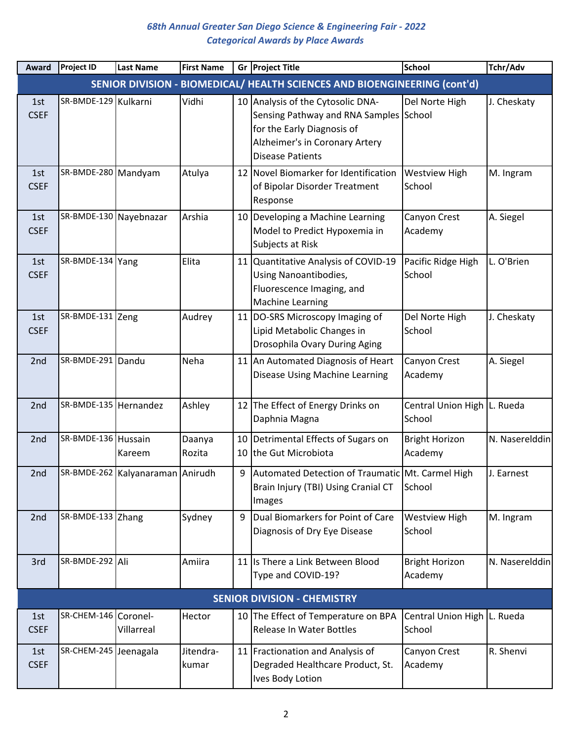| Award              | <b>Project ID</b>      | <b>Last Name</b>                 | <b>First Name</b>  |    | Gr Project Title                                                                                                                                                       | <b>School</b>                         | Tchr/Adv       |
|--------------------|------------------------|----------------------------------|--------------------|----|------------------------------------------------------------------------------------------------------------------------------------------------------------------------|---------------------------------------|----------------|
|                    |                        |                                  |                    |    | SENIOR DIVISION - BIOMEDICAL/ HEALTH SCIENCES AND BIOENGINEERING (cont'd)                                                                                              |                                       |                |
| 1st<br><b>CSEF</b> | SR-BMDE-129 Kulkarni   |                                  | Vidhi              |    | 10 Analysis of the Cytosolic DNA-<br>Sensing Pathway and RNA Samples School<br>for the Early Diagnosis of<br>Alzheimer's in Coronary Artery<br><b>Disease Patients</b> | Del Norte High                        | J. Cheskaty    |
| 1st<br><b>CSEF</b> | SR-BMDE-280   Mandyam  |                                  | Atulya             |    | 12 Novel Biomarker for Identification<br>of Bipolar Disorder Treatment<br>Response                                                                                     | <b>Westview High</b><br>School        | M. Ingram      |
| 1st<br><b>CSEF</b> | SR-BMDE-130 Nayebnazar |                                  | Arshia             |    | 10 Developing a Machine Learning<br>Model to Predict Hypoxemia in<br>Subjects at Risk                                                                                  | Canyon Crest<br>Academy               | A. Siegel      |
| 1st<br><b>CSEF</b> | SR-BMDE-134 Yang       |                                  | Elita              | 11 | Quantitative Analysis of COVID-19<br><b>Using Nanoantibodies,</b><br>Fluorescence Imaging, and<br><b>Machine Learning</b>                                              | Pacific Ridge High<br>School          | L. O'Brien     |
| 1st<br><b>CSEF</b> | SR-BMDE-131 Zeng       |                                  | Audrey             | 11 | DO-SRS Microscopy Imaging of<br>Lipid Metabolic Changes in<br>Drosophila Ovary During Aging                                                                            | Del Norte High<br>School              | J. Cheskaty    |
| 2nd                | SR-BMDE-291 Dandu      |                                  | Neha               |    | 11 An Automated Diagnosis of Heart<br>Disease Using Machine Learning                                                                                                   | Canyon Crest<br>Academy               | A. Siegel      |
| 2nd                | SR-BMDE-135 Hernandez  |                                  | Ashley             |    | 12 The Effect of Energy Drinks on<br>Daphnia Magna                                                                                                                     | Central Union High L. Rueda<br>School |                |
| 2nd                | SR-BMDE-136 Hussain    | Kareem                           | Daanya<br>Rozita   | 10 | Detrimental Effects of Sugars on<br>10 the Gut Microbiota                                                                                                              | <b>Bright Horizon</b><br>Academy      | N. Naserelddin |
| 2nd                |                        | SR-BMDE-262 Kalyanaraman Anirudh |                    | 9  | Automated Detection of Traumatic Mt. Carmel High<br>Brain Injury (TBI) Using Cranial CT<br>Images                                                                      | School                                | J. Earnest     |
| 2nd                | SR-BMDE-133 Zhang      |                                  | Sydney             | 9  | Dual Biomarkers for Point of Care<br>Diagnosis of Dry Eye Disease                                                                                                      | <b>Westview High</b><br>School        | M. Ingram      |
| 3rd                | SR-BMDE-292 Ali        |                                  | Amiira             |    | 11 Is There a Link Between Blood<br>Type and COVID-19?                                                                                                                 | <b>Bright Horizon</b><br>Academy      | N. Naserelddin |
|                    |                        |                                  |                    |    | <b>SENIOR DIVISION - CHEMISTRY</b>                                                                                                                                     |                                       |                |
| 1st<br><b>CSEF</b> | SR-CHEM-146 Coronel-   | Villarreal                       | Hector             |    | 10 The Effect of Temperature on BPA<br>Release In Water Bottles                                                                                                        | Central Union High L. Rueda<br>School |                |
| 1st<br><b>CSEF</b> | SR-CHEM-245 Jeenagala  |                                  | Jitendra-<br>kumar |    | 11 Fractionation and Analysis of<br>Degraded Healthcare Product, St.<br>Ives Body Lotion                                                                               | Canyon Crest<br>Academy               | R. Shenvi      |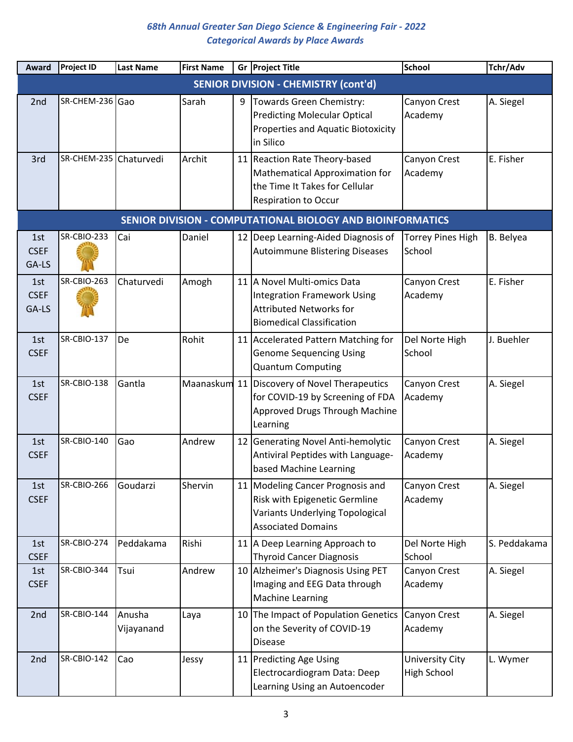| Award                       | <b>Project ID</b>      | <b>Last Name</b>     | <b>First Name</b> |    | Gr Project Title                                                                                                                         | <b>School</b>                      | Tchr/Adv     |
|-----------------------------|------------------------|----------------------|-------------------|----|------------------------------------------------------------------------------------------------------------------------------------------|------------------------------------|--------------|
|                             |                        |                      |                   |    | <b>SENIOR DIVISION - CHEMISTRY (cont'd)</b>                                                                                              |                                    |              |
| 2 <sub>nd</sub>             | SR-CHEM-236 Gao        |                      | Sarah             | 9  | Towards Green Chemistry:<br><b>Predicting Molecular Optical</b><br>Properties and Aquatic Biotoxicity<br>in Silico                       | Canyon Crest<br>Academy            | A. Siegel    |
| 3rd                         | SR-CHEM-235 Chaturvedi |                      | Archit            |    | 11 Reaction Rate Theory-based<br>Mathematical Approximation for<br>the Time It Takes for Cellular<br><b>Respiration to Occur</b>         | Canyon Crest<br>Academy            | E. Fisher    |
|                             |                        |                      |                   |    | SENIOR DIVISION - COMPUTATIONAL BIOLOGY AND BIOINFORMATICS                                                                               |                                    |              |
| 1st<br><b>CSEF</b><br>GA-LS | <b>SR-CBIO-233</b>     | Cai                  | Daniel            |    | 12 Deep Learning-Aided Diagnosis of<br><b>Autoimmune Blistering Diseases</b>                                                             | <b>Torrey Pines High</b><br>School | B. Belyea    |
| 1st<br><b>CSEF</b><br>GA-LS | SR-CBIO-263            | Chaturvedi           | Amogh             |    | 11 A Novel Multi-omics Data<br><b>Integration Framework Using</b><br><b>Attributed Networks for</b><br><b>Biomedical Classification</b>  | Canyon Crest<br>Academy            | E. Fisher    |
| 1st<br><b>CSEF</b>          | SR-CBIO-137            | De                   | Rohit             |    | 11 Accelerated Pattern Matching for<br><b>Genome Sequencing Using</b><br><b>Quantum Computing</b>                                        | Del Norte High<br>School           | J. Buehler   |
| 1st<br><b>CSEF</b>          | SR-CBIO-138            | Gantla               |                   |    | Maanaskum 11 Discovery of Novel Therapeutics<br>for COVID-19 by Screening of FDA<br>Approved Drugs Through Machine<br>Learning           | Canyon Crest<br>Academy            | A. Siegel    |
| 1st<br><b>CSEF</b>          | SR-CBIO-140            | Gao                  | Andrew            | 12 | Generating Novel Anti-hemolytic<br>Antiviral Peptides with Language-<br>based Machine Learning                                           | Canyon Crest<br>Academy            | A. Siegel    |
| 1st<br><b>CSEF</b>          | SR-CBIO-266            | Goudarzi             | Shervin           |    | 11 Modeling Cancer Prognosis and<br>Risk with Epigenetic Germline<br><b>Variants Underlying Topological</b><br><b>Associated Domains</b> | Canyon Crest<br>Academy            | A. Siegel    |
| 1st<br><b>CSEF</b>          | SR-CBIO-274            | Peddakama            | Rishi             |    | 11 A Deep Learning Approach to<br><b>Thyroid Cancer Diagnosis</b>                                                                        | Del Norte High<br>School           | S. Peddakama |
| 1st<br><b>CSEF</b>          | SR-CBIO-344            | Tsui                 | Andrew            |    | 10 Alzheimer's Diagnosis Using PET<br>Imaging and EEG Data through<br><b>Machine Learning</b>                                            | Canyon Crest<br>Academy            | A. Siegel    |
| 2nd                         | SR-CBIO-144            | Anusha<br>Vijayanand | Laya              |    | 10 The Impact of Population Genetics<br>on the Severity of COVID-19<br><b>Disease</b>                                                    | Canyon Crest<br>Academy            | A. Siegel    |
| 2nd                         | SR-CBIO-142            | Cao                  | Jessy             |    | 11 Predicting Age Using<br>Electrocardiogram Data: Deep<br>Learning Using an Autoencoder                                                 | University City<br>High School     | L. Wymer     |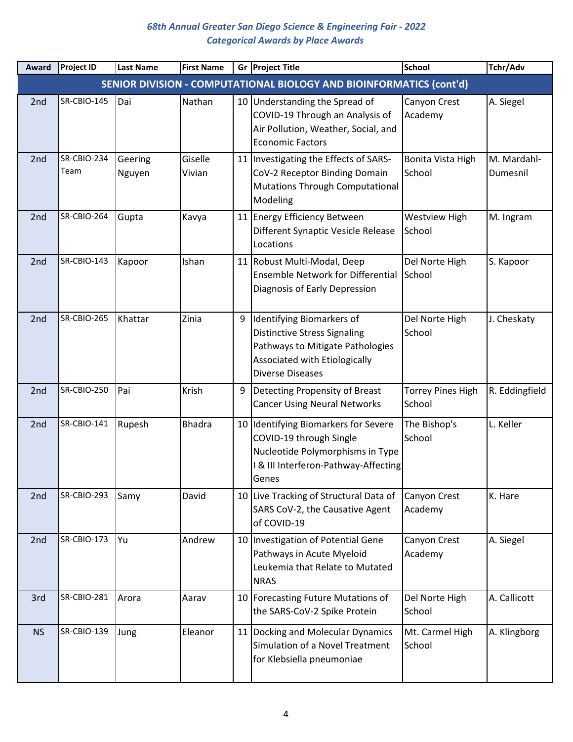| Award           | <b>Project ID</b>   | <b>Last Name</b>  | <b>First Name</b> |   | Gr Project Title                                                                                                                                                 | <b>School</b>                      | Tchr/Adv                |
|-----------------|---------------------|-------------------|-------------------|---|------------------------------------------------------------------------------------------------------------------------------------------------------------------|------------------------------------|-------------------------|
|                 |                     |                   |                   |   | SENIOR DIVISION - COMPUTATIONAL BIOLOGY AND BIOINFORMATICS (cont'd)                                                                                              |                                    |                         |
| 2 <sub>nd</sub> | SR-CBIO-145         | Dai               | Nathan            |   | 10 Understanding the Spread of<br>COVID-19 Through an Analysis of<br>Air Pollution, Weather, Social, and<br><b>Economic Factors</b>                              | Canyon Crest<br>Academy            | A. Siegel               |
| 2 <sub>nd</sub> | SR-CBIO-234<br>Team | Geering<br>Nguyen | Giselle<br>Vivian |   | 11   Investigating the Effects of SARS-<br>CoV-2 Receptor Binding Domain<br><b>Mutations Through Computational</b><br>Modeling                                   | Bonita Vista High<br>School        | M. Mardahl-<br>Dumesnil |
| 2nd             | SR-CBIO-264         | Gupta             | Kavya             |   | 11 Energy Efficiency Between<br>Different Synaptic Vesicle Release<br>Locations                                                                                  | <b>Westview High</b><br>School     | M. Ingram               |
| 2nd             | SR-CBIO-143         | Kapoor            | Ishan             |   | 11 Robust Multi-Modal, Deep<br><b>Ensemble Network for Differential</b><br>Diagnosis of Early Depression                                                         | Del Norte High<br>School           | S. Kapoor               |
| 2nd             | SR-CBIO-265         | Khattar           | Zinia             | 9 | Identifying Biomarkers of<br><b>Distinctive Stress Signaling</b><br>Pathways to Mitigate Pathologies<br>Associated with Etiologically<br><b>Diverse Diseases</b> | Del Norte High<br>School           | J. Cheskaty             |
| 2nd             | SR-CBIO-250         | Pai               | Krish             | 9 | Detecting Propensity of Breast<br><b>Cancer Using Neural Networks</b>                                                                                            | <b>Torrey Pines High</b><br>School | R. Eddingfield          |
| 2 <sub>nd</sub> | SR-CBIO-141         | Rupesh            | <b>Bhadra</b>     |   | 10 Identifying Biomarkers for Severe<br>COVID-19 through Single<br>Nucleotide Polymorphisms in Type<br>I & III Interferon-Pathway-Affecting<br>Genes             | The Bishop's<br>School             | L. Keller               |
| 2nd             | SR-CBIO-293         | Samy              | David             |   | 10 Live Tracking of Structural Data of<br>SARS CoV-2, the Causative Agent<br>of COVID-19                                                                         | Canyon Crest<br>Academy            | K. Hare                 |
| 2nd             | <b>SR-CBIO-173</b>  | lYu               | Andrew            |   | 10   Investigation of Potential Gene<br>Pathways in Acute Myeloid<br>Leukemia that Relate to Mutated<br><b>NRAS</b>                                              | Canyon Crest<br>Academy            | A. Siegel               |
| 3rd             | <b>SR-CBIO-281</b>  | Arora             | Aarav             |   | 10 Forecasting Future Mutations of<br>the SARS-CoV-2 Spike Protein                                                                                               | Del Norte High<br>School           | A. Callicott            |
| <b>NS</b>       | SR-CBIO-139         | Jung              | Eleanor           |   | 11 Docking and Molecular Dynamics<br>Simulation of a Novel Treatment<br>for Klebsiella pneumoniae                                                                | Mt. Carmel High<br>School          | A. Klingborg            |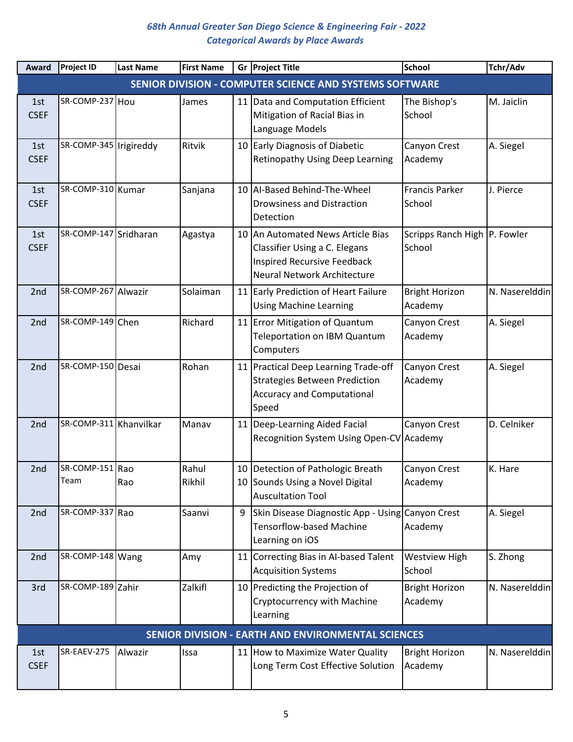| Award              | <b>Project ID</b>       | <b>Last Name</b> | <b>First Name</b> |   | Gr Project Title                                                                                                                 | <b>School</b>                          | Tchr/Adv       |
|--------------------|-------------------------|------------------|-------------------|---|----------------------------------------------------------------------------------------------------------------------------------|----------------------------------------|----------------|
|                    |                         |                  |                   |   | SENIOR DIVISION - COMPUTER SCIENCE AND SYSTEMS SOFTWARE                                                                          |                                        |                |
| 1st<br><b>CSEF</b> | SR-COMP-237 Hou         |                  | James             |   | 11 Data and Computation Efficient<br>Mitigation of Racial Bias in<br>Language Models                                             | The Bishop's<br>School                 | M. Jaiclin     |
| 1st<br><b>CSEF</b> | SR-COMP-345 Irigireddy  |                  | Ritvik            |   | 10 Early Diagnosis of Diabetic<br><b>Retinopathy Using Deep Learning</b>                                                         | Canyon Crest<br>Academy                | A. Siegel      |
| 1st<br><b>CSEF</b> | SR-COMP-310 Kumar       |                  | Sanjana           |   | 10 Al-Based Behind-The-Wheel<br><b>Drowsiness and Distraction</b><br>Detection                                                   | <b>Francis Parker</b><br>School        | J. Pierce      |
| 1st<br><b>CSEF</b> | SR-COMP-147 Sridharan   |                  | Agastya           |   | 10 An Automated News Article Bias<br>Classifier Using a C. Elegans<br>Inspired Recursive Feedback<br>Neural Network Architecture | Scripps Ranch High P. Fowler<br>School |                |
| 2 <sub>nd</sub>    | SR-COMP-267 Alwazir     |                  | Solaiman          |   | 11 Early Prediction of Heart Failure<br><b>Using Machine Learning</b>                                                            | <b>Bright Horizon</b><br>Academy       | N. Naserelddin |
| 2nd                | SR-COMP-149 Chen        |                  | Richard           |   | 11 Error Mitigation of Quantum<br>Teleportation on IBM Quantum<br>Computers                                                      | Canyon Crest<br>Academy                | A. Siegel      |
| 2nd                | SR-COMP-150 Desai       |                  | Rohan             |   | 11   Practical Deep Learning Trade-off<br><b>Strategies Between Prediction</b><br><b>Accuracy and Computational</b><br>Speed     | Canyon Crest<br>Academy                | A. Siegel      |
| 2nd                | SR-COMP-311 Khanvilkar  |                  | Manav             |   | 11 Deep-Learning Aided Facial<br>Recognition System Using Open-CV Academy                                                        | Canyon Crest                           | D. Celniker    |
| 2nd                | SR-COMP-151 Rao<br>Team | Rao              | Rahul<br>Rikhil   |   | 10 Detection of Pathologic Breath<br>10 Sounds Using a Novel Digital<br><b>Auscultation Tool</b>                                 | Canyon Crest<br>Academy                | K. Hare        |
| 2nd                | SR-COMP-337 Rao         |                  | Saanvi            | 9 | Skin Disease Diagnostic App - Using Canyon Crest<br><b>Tensorflow-based Machine</b><br>Learning on iOS                           | Academy                                | A. Siegel      |
| 2nd                | SR-COMP-148 Wang        |                  | Amy               |   | 11 Correcting Bias in Al-based Talent<br><b>Acquisition Systems</b>                                                              | <b>Westview High</b><br>School         | S. Zhong       |
| 3rd                | SR-COMP-189 Zahir       |                  | Zalkifl           |   | 10 Predicting the Projection of<br>Cryptocurrency with Machine<br>Learning                                                       | <b>Bright Horizon</b><br>Academy       | N. Naserelddin |
|                    |                         |                  |                   |   | SENIOR DIVISION - EARTH AND ENVIRONMENTAL SCIENCES                                                                               |                                        |                |
| 1st<br><b>CSEF</b> | SR-EAEV-275             | Alwazir          | Issa              |   | 11 How to Maximize Water Quality<br>Long Term Cost Effective Solution                                                            | <b>Bright Horizon</b><br>Academy       | N. Naserelddin |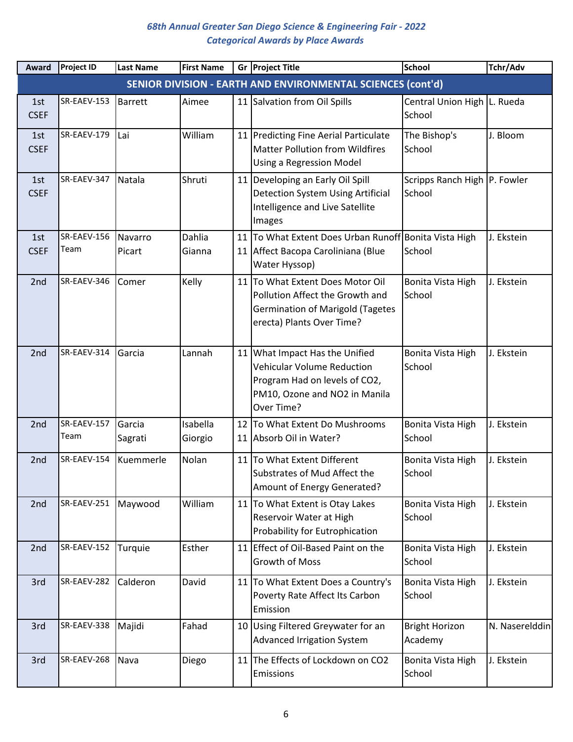| Award              | <b>Project ID</b>   | <b>Last Name</b>  | <b>First Name</b>   |    | Gr Project Title                                                                                                                                    | <b>School</b>                          | Tchr/Adv       |
|--------------------|---------------------|-------------------|---------------------|----|-----------------------------------------------------------------------------------------------------------------------------------------------------|----------------------------------------|----------------|
|                    |                     |                   |                     |    | SENIOR DIVISION - EARTH AND ENVIRONMENTAL SCIENCES (cont'd)                                                                                         |                                        |                |
| 1st<br><b>CSEF</b> | SR-EAEV-153         | <b>Barrett</b>    | Aimee               |    | 11 Salvation from Oil Spills                                                                                                                        | Central Union High L. Rueda<br>School  |                |
| 1st<br><b>CSEF</b> | SR-EAEV-179         | Lai               | William             |    | 11 Predicting Fine Aerial Particulate<br><b>Matter Pollution from Wildfires</b><br><b>Using a Regression Model</b>                                  | The Bishop's<br>School                 | J. Bloom       |
| 1st<br><b>CSEF</b> | SR-EAEV-347         | Natala            | Shruti              |    | 11 Developing an Early Oil Spill<br><b>Detection System Using Artificial</b><br>Intelligence and Live Satellite<br>Images                           | Scripps Ranch High P. Fowler<br>School |                |
| 1st<br><b>CSEF</b> | SR-EAEV-156<br>Team | Navarro<br>Picart | Dahlia<br>Gianna    | 11 | To What Extent Does Urban Runoff Bonita Vista High<br>11 Affect Bacopa Caroliniana (Blue<br>Water Hyssop)                                           | School                                 | J. Ekstein     |
| 2nd                | SR-EAEV-346         | Comer             | Kelly               |    | 11 To What Extent Does Motor Oil<br>Pollution Affect the Growth and<br><b>Germination of Marigold (Tagetes</b><br>erecta) Plants Over Time?         | Bonita Vista High<br>School            | J. Ekstein     |
| 2nd                | SR-EAEV-314         | Garcia            | Lannah              |    | 11 What Impact Has the Unified<br><b>Vehicular Volume Reduction</b><br>Program Had on levels of CO2,<br>PM10, Ozone and NO2 in Manila<br>Over Time? | Bonita Vista High<br>School            | J. Ekstein     |
| 2 <sub>nd</sub>    | SR-EAEV-157<br>Team | Garcia<br>Sagrati | Isabella<br>Giorgio |    | 12 To What Extent Do Mushrooms<br>11 Absorb Oil in Water?                                                                                           | Bonita Vista High<br>School            | J. Ekstein     |
| 2 <sub>nd</sub>    | SR-EAEV-154         | Kuemmerle         | Nolan               |    | 11 To What Extent Different<br>Substrates of Mud Affect the<br>Amount of Energy Generated?                                                          | Bonita Vista High<br>School            | J. Ekstein     |
| 2nd                | SR-EAEV-251         | Maywood           | William             |    | 11 To What Extent is Otay Lakes<br>Reservoir Water at High<br>Probability for Eutrophication                                                        | Bonita Vista High<br>School            | J. Ekstein     |
| 2nd                | SR-EAEV-152         | Turquie           | Esther              |    | 11 Effect of Oil-Based Paint on the<br>Growth of Moss                                                                                               | Bonita Vista High<br>School            | J. Ekstein     |
| 3rd                | SR-EAEV-282         | Calderon          | David               |    | 11 To What Extent Does a Country's<br>Poverty Rate Affect Its Carbon<br>Emission                                                                    | Bonita Vista High<br>School            | J. Ekstein     |
| 3rd                | SR-EAEV-338         | Majidi            | Fahad               |    | 10 Using Filtered Greywater for an<br><b>Advanced Irrigation System</b>                                                                             | <b>Bright Horizon</b><br>Academy       | N. Naserelddin |
| 3rd                | SR-EAEV-268         | Nava              | Diego               |    | 11 The Effects of Lockdown on CO2<br>Emissions                                                                                                      | Bonita Vista High<br>School            | J. Ekstein     |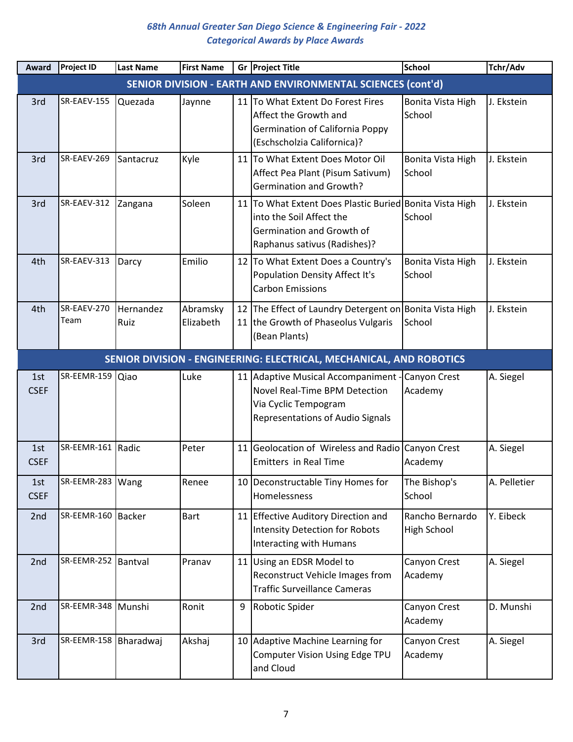| <b>Award</b>       | <b>Project ID</b>                                                   | <b>Last Name</b>  | <b>First Name</b>     |   | Gr Project Title                                                                                                                                 | <b>School</b>                         | Tchr/Adv     |  |  |  |
|--------------------|---------------------------------------------------------------------|-------------------|-----------------------|---|--------------------------------------------------------------------------------------------------------------------------------------------------|---------------------------------------|--------------|--|--|--|
|                    |                                                                     |                   |                       |   | SENIOR DIVISION - EARTH AND ENVIRONMENTAL SCIENCES (cont'd)                                                                                      |                                       |              |  |  |  |
| 3rd                | SR-EAEV-155                                                         | Quezada           | Jaynne                |   | 11 To What Extent Do Forest Fires<br>Affect the Growth and<br><b>Germination of California Poppy</b><br>(Eschscholzia Californica)?              | Bonita Vista High<br>School           | J. Ekstein   |  |  |  |
| 3rd                | SR-EAEV-269                                                         | Santacruz         | Kyle                  |   | 11 To What Extent Does Motor Oil<br>Affect Pea Plant (Pisum Sativum)<br><b>Germination and Growth?</b>                                           | Bonita Vista High<br>School           | J. Ekstein   |  |  |  |
| 3rd                | SR-EAEV-312                                                         | Zangana           | Soleen                |   | 11 To What Extent Does Plastic Buried Bonita Vista High<br>into the Soil Affect the<br>Germination and Growth of<br>Raphanus sativus (Radishes)? | School                                | J. Ekstein   |  |  |  |
| 4th                | SR-EAEV-313                                                         | Darcy             | Emilio                |   | 12 To What Extent Does a Country's<br>Population Density Affect It's<br><b>Carbon Emissions</b>                                                  | Bonita Vista High<br>School           | J. Ekstein   |  |  |  |
| 4th                | SR-EAEV-270<br>Team                                                 | Hernandez<br>Ruiz | Abramsky<br>Elizabeth |   | 12 The Effect of Laundry Detergent on Bonita Vista High<br>11 the Growth of Phaseolus Vulgaris<br>(Bean Plants)                                  | School                                | J. Ekstein   |  |  |  |
|                    | SENIOR DIVISION - ENGINEERING: ELECTRICAL, MECHANICAL, AND ROBOTICS |                   |                       |   |                                                                                                                                                  |                                       |              |  |  |  |
| 1st<br><b>CSEF</b> | SR-EEMR-159 Qiao                                                    |                   | Luke                  |   | 11 Adaptive Musical Accompaniment - Canyon Crest<br>Novel Real-Time BPM Detection<br>Via Cyclic Tempogram<br>Representations of Audio Signals    | Academy                               | A. Siegel    |  |  |  |
| 1st<br><b>CSEF</b> | SR-EEMR-161 Radic                                                   |                   | Peter                 |   | 11 Geolocation of Wireless and Radio Canyon Crest<br><b>Emitters in Real Time</b>                                                                | Academy                               | A. Siegel    |  |  |  |
| 1st<br><b>CSEF</b> | SR-EEMR-283   Wang                                                  |                   | Renee                 |   | 10 Deconstructable Tiny Homes for<br>Homelessness                                                                                                | The Bishop's<br>School                | A. Pelletier |  |  |  |
| 2nd                | SR-EEMR-160   Backer                                                |                   | <b>Bart</b>           |   | 11 Effective Auditory Direction and<br><b>Intensity Detection for Robots</b><br>Interacting with Humans                                          | Rancho Bernardo<br><b>High School</b> | Y. Eibeck    |  |  |  |
| 2nd                | SR-EEMR-252 Bantval                                                 |                   | Pranav                |   | 11 Using an EDSR Model to<br>Reconstruct Vehicle Images from<br><b>Traffic Surveillance Cameras</b>                                              | Canyon Crest<br>Academy               | A. Siegel    |  |  |  |
| 2nd                | SR-EEMR-348 Munshi                                                  |                   | Ronit                 | 9 | Robotic Spider                                                                                                                                   | Canyon Crest<br>Academy               | D. Munshi    |  |  |  |
| 3rd                | SR-EEMR-158   Bharadwaj                                             |                   | Akshaj                |   | 10 Adaptive Machine Learning for<br>Computer Vision Using Edge TPU<br>and Cloud                                                                  | Canyon Crest<br>Academy               | A. Siegel    |  |  |  |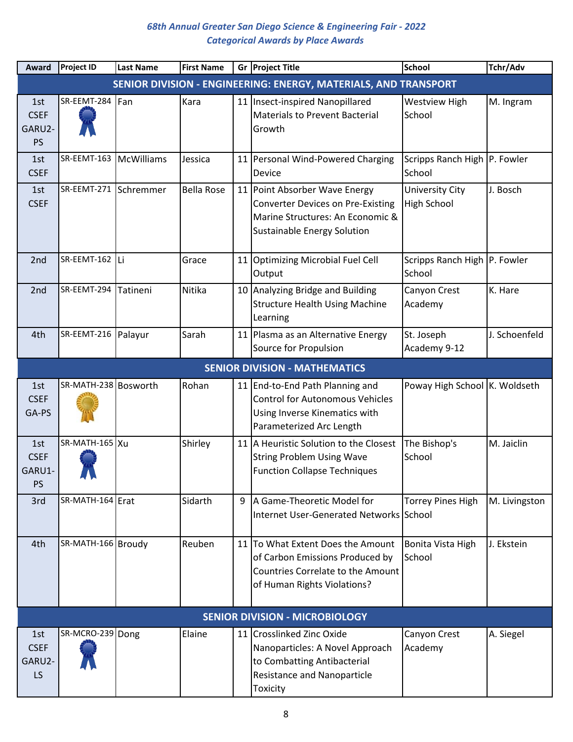| Award                                     | <b>Project ID</b>                    | <b>Last Name</b>  | <b>First Name</b> |   | Gr Project Title                                                                                                                                    | <b>School</b>                          | Tchr/Adv      |  |  |  |
|-------------------------------------------|--------------------------------------|-------------------|-------------------|---|-----------------------------------------------------------------------------------------------------------------------------------------------------|----------------------------------------|---------------|--|--|--|
|                                           |                                      |                   |                   |   | SENIOR DIVISION - ENGINEERING: ENERGY, MATERIALS, AND TRANSPORT                                                                                     |                                        |               |  |  |  |
| 1st<br><b>CSEF</b><br>GARU2-<br><b>PS</b> | SR-EEMT-284                          | Fan               | Kara              |   | 11 Insect-inspired Nanopillared<br><b>Materials to Prevent Bacterial</b><br>Growth                                                                  | <b>Westview High</b><br>School         | M. Ingram     |  |  |  |
| 1st<br><b>CSEF</b>                        | SR-EEMT-163                          | <b>McWilliams</b> | Jessica           |   | 11 Personal Wind-Powered Charging<br>Device                                                                                                         | Scripps Ranch High P. Fowler<br>School |               |  |  |  |
| 1st<br><b>CSEF</b>                        | SR-EEMT-271                          | Schremmer         | <b>Bella Rose</b> |   | 11 Point Absorber Wave Energy<br><b>Converter Devices on Pre-Existing</b><br>Marine Structures: An Economic &<br><b>Sustainable Energy Solution</b> | University City<br><b>High School</b>  | J. Bosch      |  |  |  |
| 2 <sub>nd</sub>                           | SR-EEMT-162 Li                       |                   | Grace             |   | 11 Optimizing Microbial Fuel Cell<br>Output                                                                                                         | Scripps Ranch High P. Fowler<br>School |               |  |  |  |
| 2nd                                       | SR-EEMT-294                          | Tatineni          | Nitika            |   | 10 Analyzing Bridge and Building<br><b>Structure Health Using Machine</b><br>Learning                                                               | Canyon Crest<br>Academy                | K. Hare       |  |  |  |
| 4th                                       | SR-EEMT-216                          | Palayur           | Sarah             |   | 11 Plasma as an Alternative Energy<br>Source for Propulsion                                                                                         | St. Joseph<br>Academy 9-12             | J. Schoenfeld |  |  |  |
|                                           | <b>SENIOR DIVISION - MATHEMATICS</b> |                   |                   |   |                                                                                                                                                     |                                        |               |  |  |  |
| 1st<br><b>CSEF</b><br>GA-PS               | SR-MATH-238 Bosworth                 |                   | Rohan             |   | 11 End-to-End Path Planning and<br><b>Control for Autonomous Vehicles</b><br>Using Inverse Kinematics with<br>Parameterized Arc Length              | Poway High School K. Woldseth          |               |  |  |  |
| 1st<br><b>CSEF</b><br>GARU1-<br><b>PS</b> | SR-MATH-165 Xu<br>AV VA              |                   | Shirley           |   | 11 A Heuristic Solution to the Closest<br><b>String Problem Using Wave</b><br><b>Function Collapse Techniques</b>                                   | The Bishop's<br>School                 | M. Jaiclin    |  |  |  |
| 3rd                                       | SR-MATH-164 Erat                     |                   | Sidarth           | 9 | A Game-Theoretic Model for<br>Internet User-Generated Networks School                                                                               | <b>Torrey Pines High</b>               | M. Livingston |  |  |  |
| 4th                                       | SR-MATH-166 Broudy                   |                   | Reuben            |   | 11 To What Extent Does the Amount<br>of Carbon Emissions Produced by<br>Countries Correlate to the Amount<br>of Human Rights Violations?            | Bonita Vista High<br>School            | J. Ekstein    |  |  |  |
|                                           |                                      |                   |                   |   | <b>SENIOR DIVISION - MICROBIOLOGY</b>                                                                                                               |                                        |               |  |  |  |
| 1st<br><b>CSEF</b><br>GARU2-<br>LS.       | SR-MCRO-239 Dong                     |                   | Elaine            |   | 11 Crosslinked Zinc Oxide<br>Nanoparticles: A Novel Approach<br>to Combatting Antibacterial<br><b>Resistance and Nanoparticle</b><br>Toxicity       | Canyon Crest<br>Academy                | A. Siegel     |  |  |  |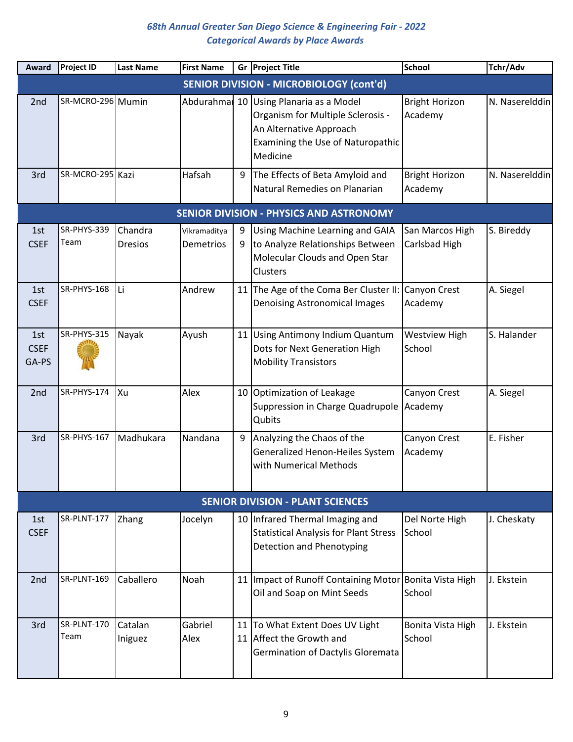| Award                       | <b>Project ID</b>   | <b>Last Name</b>          | <b>First Name</b>         |        | Gr Project Title                                                                                                                                        | <b>School</b>                    | Tchr/Adv       |
|-----------------------------|---------------------|---------------------------|---------------------------|--------|---------------------------------------------------------------------------------------------------------------------------------------------------------|----------------------------------|----------------|
|                             |                     |                           |                           |        | <b>SENIOR DIVISION - MICROBIOLOGY (cont'd)</b>                                                                                                          |                                  |                |
| 2nd                         | SR-MCRO-296 Mumin   |                           |                           |        | Abdurahma 10 Using Planaria as a Model<br>Organism for Multiple Sclerosis -<br>An Alternative Approach<br>Examining the Use of Naturopathic<br>Medicine | <b>Bright Horizon</b><br>Academy | N. Naserelddin |
| 3rd                         | SR-MCRO-295 Kazi    |                           | Hafsah                    | 9      | The Effects of Beta Amyloid and<br>Natural Remedies on Planarian                                                                                        | <b>Bright Horizon</b><br>Academy | N. Naserelddin |
|                             |                     |                           |                           |        | <b>SENIOR DIVISION - PHYSICS AND ASTRONOMY</b>                                                                                                          |                                  |                |
| 1st<br><b>CSEF</b>          | SR-PHYS-339<br>Team | Chandra<br><b>Dresios</b> | Vikramaditya<br>Demetrios | 9<br>9 | Using Machine Learning and GAIA<br>to Analyze Relationships Between<br>Molecular Clouds and Open Star<br>Clusters                                       | San Marcos High<br>Carlsbad High | S. Bireddy     |
| 1st<br><b>CSEF</b>          | SR-PHYS-168         | lLi                       | Andrew                    |        | 11   The Age of the Coma Ber Cluster II:<br><b>Denoising Astronomical Images</b>                                                                        | Canyon Crest<br>Academy          | A. Siegel      |
| 1st<br><b>CSEF</b><br>GA-PS | SR-PHYS-315         | Nayak                     | Ayush                     |        | 11 Using Antimony Indium Quantum<br>Dots for Next Generation High<br><b>Mobility Transistors</b>                                                        | <b>Westview High</b><br>School   | S. Halander    |
| 2 <sub>nd</sub>             | SR-PHYS-174         | Ixu                       | Alex                      |        | 10 Optimization of Leakage<br>Suppression in Charge Quadrupole<br>Qubits                                                                                | Canyon Crest<br>Academy          | A. Siegel      |
| 3rd                         | SR-PHYS-167         | Madhukara                 | Nandana                   | 9      | Analyzing the Chaos of the<br>Generalized Henon-Heiles System<br>with Numerical Methods                                                                 | Canyon Crest<br>Academy          | E. Fisher      |
|                             |                     |                           |                           |        | <b>SENIOR DIVISION - PLANT SCIENCES</b>                                                                                                                 |                                  |                |
| 1st<br><b>CSEF</b>          | SR-PLNT-177         | Zhang                     | Jocelyn                   |        | 10 Infrared Thermal Imaging and<br><b>Statistical Analysis for Plant Stress</b><br>Detection and Phenotyping                                            | Del Norte High<br>School         | J. Cheskaty    |
| 2nd                         | SR-PLNT-169         | Caballero                 | Noah                      |        | 11   Impact of Runoff Containing Motor Bonita Vista High<br>Oil and Soap on Mint Seeds                                                                  | School                           | J. Ekstein     |
| 3rd                         | SR-PLNT-170<br>Team | Catalan<br>Iniguez        | Gabriel<br>Alex           | 11     | To What Extent Does UV Light<br>11 Affect the Growth and<br><b>Germination of Dactylis Gloremata</b>                                                    | Bonita Vista High<br>School      | J. Ekstein     |